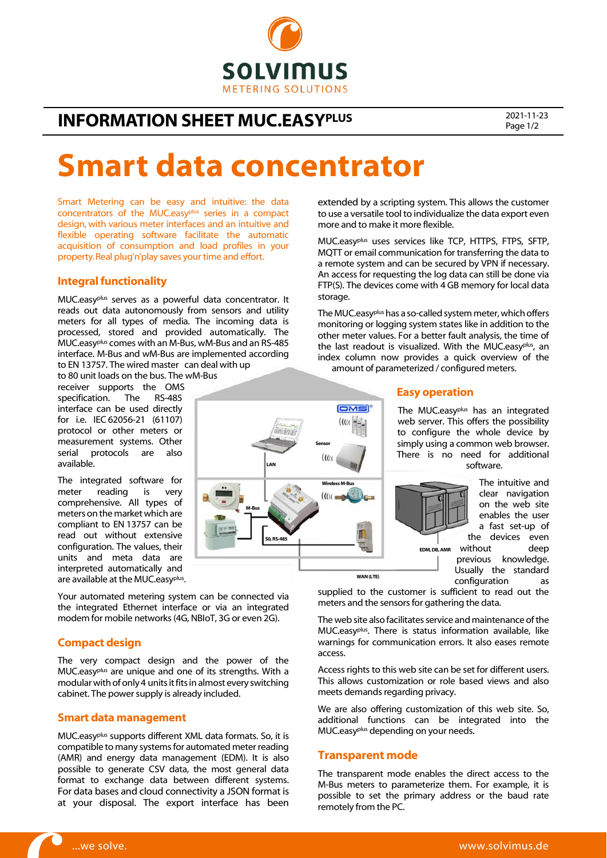

# **INFORMATION SHEET MUC.EASYPLUS** 2021-11-23

Page 1/2

# Smart data concentrator

M-Bus

LAN

S0, RS-485

Smart Metering can be easy and intuitive: the data concentrators of the MUC.easyplus series in a compact design, with various meter interfaces and an intuitive and flexible operating software facilitate the automatic acquisition of consumption and load profiles in your property.Real plug'n'play saves your time and effort.

### Integral functionality

MUC.easyplus serves as a powerful data concentrator. It reads out data autonomously from sensors and utility meters for all types of media. The incoming data is processed, stored and provided automatically. The MUC.easyplus comes with an M-Bus, wM-Bus and an RS-485 interface. M-Bus and wM-Bus are implemented according to EN 13757. The wired master can deal with up

to 80 unit loads on the bus. The wM-Bus receiver supports the OMS specification. The RS-485 interface can be used directly for i.e. IEC 62056-21 (61107) protocol or other meters or measurement systems. Other serial protocols are also available.

The integrated software for meter reading is very comprehensive. All types of meters on the market which are compliant to EN 13757 can be read out without extensive configuration. The values, their units and meta data are interpreted automatically and are available at the MUC.easy<sup>plus</sup>.

Your automated metering system can be connected via the integrated Ethernet interface or via an integrated modem for mobile networks (4G, NBIoT, 3G or even 2G).

### Compact design

The very compact design and the power of the MUC.easyplus are unique and one of its strengths. With a modular with of only 4 units it fits in almost every switching cabinet. The power supply is already included.

### Smart data management

MUC.easyplus supports different XML data formats. So, it is compatible to many systems for automated meter reading (AMR) and energy data management (EDM). It is also possible to generate CSV data, the most general data format to exchange data between different systems. For data bases and cloud connectivity a JSON format is at your disposal. The export interface has been extended by a scripting system. This allows the customer to use a versatile tool to individualize the data export even more and to make it more flexible.

MUC.easyplus uses services like TCP, HTTPS, FTPS, SFTP, MQTT or email communication for transferring the data to a remote system and can be secured by VPN if necessary. An access for requesting the log data can still be done via FTP(S). The devices come with 4 GB memory for local data storage.

The MUC.easyplus has a so-called system meter, which offers monitoring or logging system states like in addition to the other meter values. For a better fault analysis, the time of the last readout is visualized. With the MUC.easy plus, an index column now provides a quick overview of the amount of parameterized / configured meters.

### Easy operation

The MUC.easy<sup>plus</sup> has an integrated web server. This offers the possibility to configure the whole device by simply using a common web browser. There is no need for additional software.



The intuitive and clear navigation on the web site enables the user a fast set-up of the devices even without deep previous knowledge.

Usually the standard configuration as

supplied to the customer is sufficient to read out the meters and the sensors for gathering the data.

The web site also facilitates service and maintenance of the MUC.easyplus. There is status information available, like warnings for communication errors. It also eases remote access.

Access rights to this web site can be set for different users. This allows customization or role based views and also meets demands regarding privacy.

We are also offering customization of this web site. So, additional functions can be integrated into the MUC.easy<sup>plus</sup> depending on your needs.

### Transparent mode

WAN (LTE)

Sensor

Wireless M-Bu

 $(11)$ 

**OMS**  $(uu)$ 

The transparent mode enables the direct access to the M-Bus meters to parameterize them. For example, it is possible to set the primary address or the baud rate remotely from the PC.